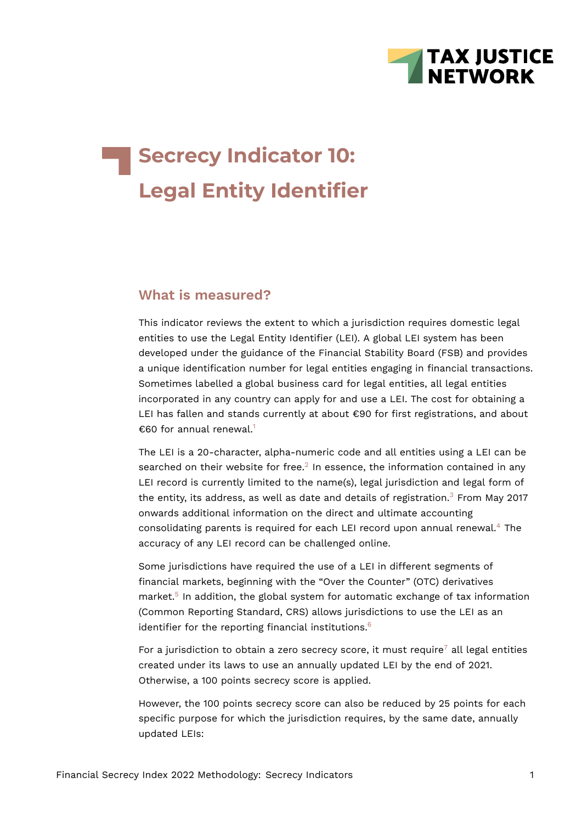

# **Secrecy Indicator 10: Legal Entity Identifier**

#### **What is measured?**

This indicator reviews the extent to which a jurisdiction requires domestic legal entities to use the Legal Entity Identifier (LEI). A global LEI system has been developed under the guidance of the Financial Stability Board (FSB) and provides a unique identification number for legal entities engaging in financial transactions. Sometimes labelled a global business card for legal entities, all legal entities incorporated in any country can apply for and use a LEI. The cost for obtaining a LEI has fallen and stands currently at about €90 for first registrations, and about €60 for annual renewal.<sup>[1](#page-9-0)</sup>

<span id="page-0-2"></span><span id="page-0-1"></span><span id="page-0-0"></span>The LEI is a 20-character, alpha-numeric code and all entities using a LEI can be searched on their website for free. $^2$  $^2$  In essence, the information contained in any LEI record is currently limited to the name(s), legal jurisdiction and legal form of the entity, its address, as well as date and details of registration. $3$  From May 2017 onwards additional information on the direct and ultimate accounting consolidating parents is required for each LEI record upon annual renewal.[4](#page-9-3) The accuracy of any LEI record can be challenged online.

<span id="page-0-4"></span><span id="page-0-3"></span>Some jurisdictions have required the use of a LEI in different segments of financial markets, beginning with the "Over the Counter" (OTC) derivatives market.<sup>[5](#page-9-4)</sup> In addition, the global system for automatic exchange of tax information (Common Reporting Standard, CRS) allows jurisdictions to use the LEI as an identifier for the reporting financial institutions. $6$ 

<span id="page-0-6"></span><span id="page-0-5"></span>For a jurisdiction to obtain a zero secrecy score, it must require<sup>[7](#page-9-6)</sup> all legal entities created under its laws to use an annually updated LEI by the end of 2021. Otherwise, a 100 points secrecy score is applied.

However, the 100 points secrecy score can also be reduced by 25 points for each specific purpose for which the jurisdiction requires, by the same date, annually updated LEIs: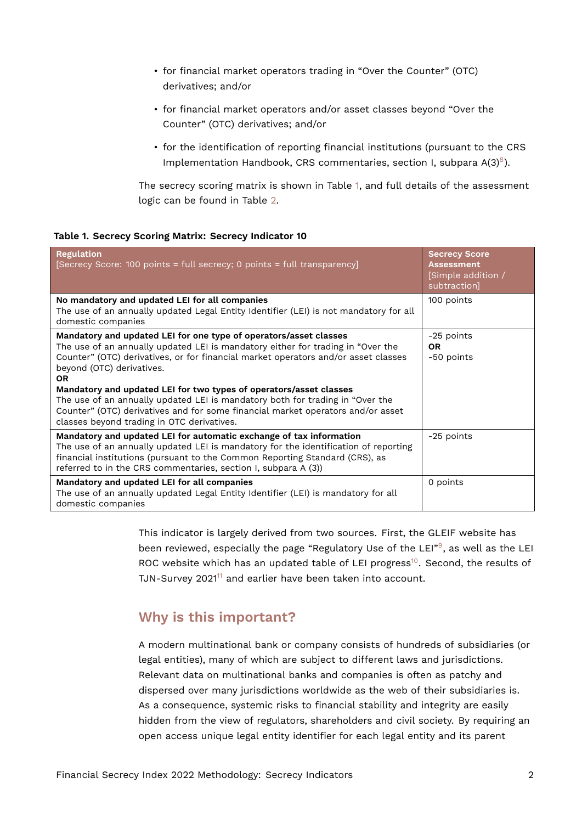- for financial market operators trading in "Over the Counter" (OTC) derivatives; and/or
- for financial market operators and/or asset classes beyond "Over the Counter" (OTC) derivatives; and/or
- <span id="page-1-1"></span>• for the identification of reporting financial institutions (pursuant to the CRS Implementation Handbook, CRS commentaries, section I, subpara  $A(3)^8$  $A(3)^8$ ).

<span id="page-1-0"></span>The secrecy scoring matrix is shown in Table [1,](#page-1-0) and full details of the assessment logic can be found in Table [2.](#page-5-0)

|  |  | Table 1. Secrecy Scoring Matrix: Secrecy Indicator 10 |  |
|--|--|-------------------------------------------------------|--|
|  |  |                                                       |  |

| <b>Regulation</b><br>[Secrecy Score: 100 points = full secrecy; 0 points = full transparency]                                                                                                                                                                                                                                                                                                                                                                                                                                                                                | <b>Secrecy Score</b><br><b>Assessment</b><br>[Simple addition /<br>subtraction] |
|------------------------------------------------------------------------------------------------------------------------------------------------------------------------------------------------------------------------------------------------------------------------------------------------------------------------------------------------------------------------------------------------------------------------------------------------------------------------------------------------------------------------------------------------------------------------------|---------------------------------------------------------------------------------|
| No mandatory and updated LEI for all companies<br>The use of an annually updated Legal Entity Identifier (LEI) is not mandatory for all<br>domestic companies                                                                                                                                                                                                                                                                                                                                                                                                                | 100 points                                                                      |
| Mandatory and updated LEI for one type of operators/asset classes<br>The use of an annually updated LEI is mandatory either for trading in "Over the<br>Counter" (OTC) derivatives, or for financial market operators and/or asset classes<br>beyond (OTC) derivatives.<br><b>OR</b><br>Mandatory and updated LEI for two types of operators/asset classes<br>The use of an annually updated LEI is mandatory both for trading in "Over the<br>Counter" (OTC) derivatives and for some financial market operators and/or asset<br>classes beyond trading in OTC derivatives. | -25 points<br><b>OR</b><br>-50 points                                           |
| Mandatory and updated LEI for automatic exchange of tax information<br>The use of an annually updated LEI is mandatory for the identification of reporting<br>financial institutions (pursuant to the Common Reporting Standard (CRS), as<br>referred to in the CRS commentaries, section I, subpara A (3))                                                                                                                                                                                                                                                                  | -25 points                                                                      |
| Mandatory and updated LEI for all companies<br>The use of an annually updated Legal Entity Identifier (LEI) is mandatory for all<br>domestic companies                                                                                                                                                                                                                                                                                                                                                                                                                       | 0 points                                                                        |

<span id="page-1-3"></span><span id="page-1-2"></span>This indicator is largely derived from two sources. First, the GLEIF website has been reviewed, especially the page "Regulatory Use of the LEI"<sup>[9](#page-9-8)</sup>, as well as the LEI ROC website which has an updated table of LEI progress<sup>[10](#page-9-9)</sup>. Second, the results of TJN-Survey 2021<sup>[11](#page-9-10)</sup> and earlier have been taken into account.

### <span id="page-1-4"></span>**Why is this important?**

A modern multinational bank or company consists of hundreds of subsidiaries (or legal entities), many of which are subject to different laws and jurisdictions. Relevant data on multinational banks and companies is often as patchy and dispersed over many jurisdictions worldwide as the web of their subsidiaries is. As a consequence, systemic risks to financial stability and integrity are easily hidden from the view of regulators, shareholders and civil society. By requiring an open access unique legal entity identifier for each legal entity and its parent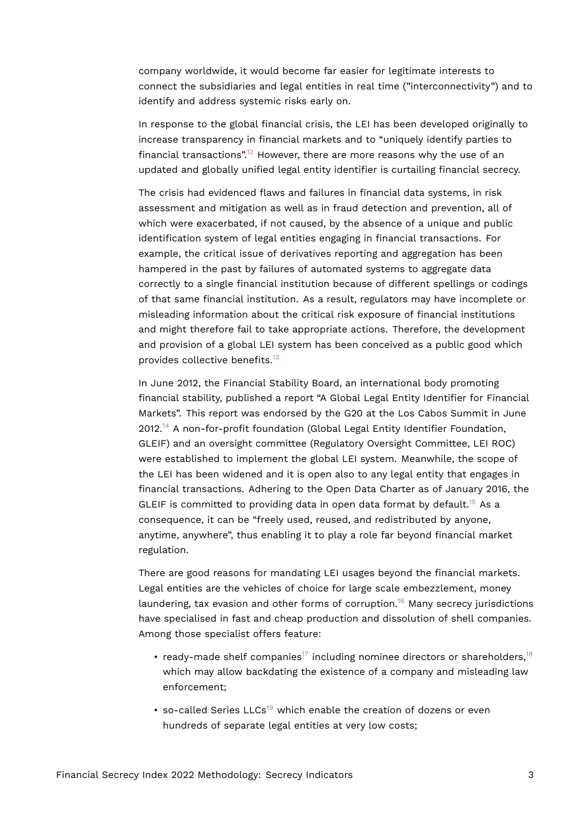company worldwide, it would become far easier for legitimate interests to connect the subsidiaries and legal entities in real time ("interconnectivity") and to identify and address systemic risks early on.

<span id="page-2-0"></span>In response to the global financial crisis, the LEI has been developed originally to increase transparency in financial markets and to "uniquely identify parties to financial transactions".<sup>[12](#page-10-0)</sup> However, there are more reasons why the use of an updated and globally unified legal entity identifier is curtailing financial secrecy.

The crisis had evidenced flaws and failures in financial data systems, in risk assessment and mitigation as well as in fraud detection and prevention, all of which were exacerbated, if not caused, by the absence of a unique and public identification system of legal entities engaging in financial transactions. For example, the critical issue of derivatives reporting and aggregation has been hampered in the past by failures of automated systems to aggregate data correctly to a single financial institution because of different spellings or codings of that same financial institution. As a result, regulators may have incomplete or misleading information about the critical risk exposure of financial institutions and might therefore fail to take appropriate actions. Therefore, the development and provision of a global LEI system has been conceived as a public good which provides collective benefits.[13](#page-10-1)

<span id="page-2-2"></span><span id="page-2-1"></span>In June 2012, the Financial Stability Board, an international body promoting financial stability, published a report "A Global Legal Entity Identifier for Financial Markets". This report was endorsed by the G20 at the Los Cabos Summit in June 2012.[14](#page-10-2) A non-for-profit foundation (Global Legal Entity Identifier Foundation, GLEIF) and an oversight committee (Regulatory Oversight Committee, LEI ROC) were established to implement the global LEI system. Meanwhile, the scope of the LEI has been widened and it is open also to any legal entity that engages in financial transactions. Adhering to the Open Data Charter as of January 2016, the GLEIF is committed to providing data in open data format by default.<sup>[15](#page-10-3)</sup> As a consequence, it can be "freely used, reused, and redistributed by anyone, anytime, anywhere", thus enabling it to play a role far beyond financial market regulation.

<span id="page-2-3"></span>There are good reasons for mandating LEI usages beyond the financial markets. Legal entities are the vehicles of choice for large scale embezzlement, money laundering, tax evasion and other forms of corruption.<sup>[16](#page-10-4)</sup> Many secrecy jurisdictions have specialised in fast and cheap production and dissolution of shell companies. Among those specialist offers feature:

- <span id="page-2-6"></span><span id="page-2-5"></span><span id="page-2-4"></span>• ready-made shelf companies<sup>[17](#page-10-5)</sup> including nominee directors or shareholders,<sup>[18](#page-10-6)</sup> which may allow backdating the existence of a company and misleading law enforcement;
- <span id="page-2-7"></span>• so-called Series LLCs<sup>[19](#page-10-7)</sup> which enable the creation of dozens or even hundreds of separate legal entities at very low costs;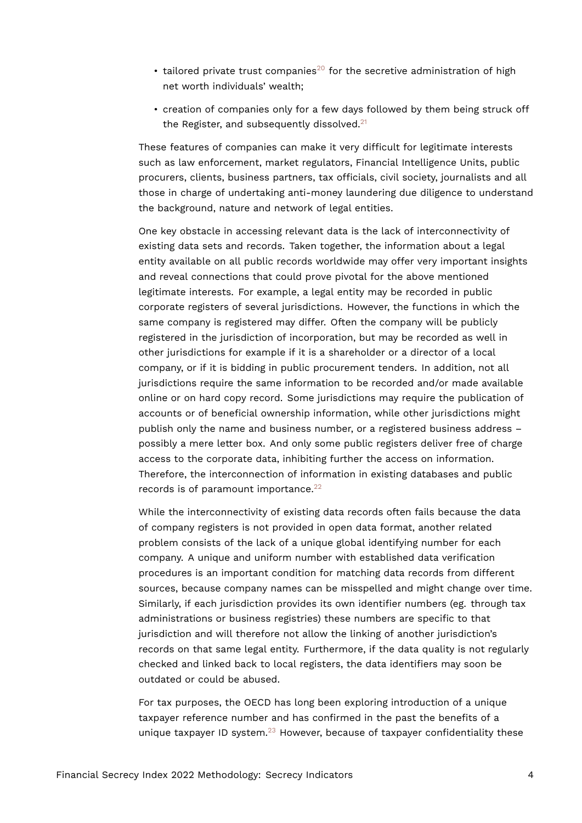- <span id="page-3-0"></span>• tailored private trust companies<sup>[20](#page-10-8)</sup> for the secretive administration of high net worth individuals' wealth;
- <span id="page-3-1"></span>• creation of companies only for a few days followed by them being struck off the Register, and subsequently dissolved. $21$

These features of companies can make it very difficult for legitimate interests such as law enforcement, market regulators, Financial Intelligence Units, public procurers, clients, business partners, tax officials, civil society, journalists and all those in charge of undertaking anti-money laundering due diligence to understand the background, nature and network of legal entities.

One key obstacle in accessing relevant data is the lack of interconnectivity of existing data sets and records. Taken together, the information about a legal entity available on all public records worldwide may offer very important insights and reveal connections that could prove pivotal for the above mentioned legitimate interests. For example, a legal entity may be recorded in public corporate registers of several jurisdictions. However, the functions in which the same company is registered may differ. Often the company will be publicly registered in the jurisdiction of incorporation, but may be recorded as well in other jurisdictions for example if it is a shareholder or a director of a local company, or if it is bidding in public procurement tenders. In addition, not all jurisdictions require the same information to be recorded and/or made available online or on hard copy record. Some jurisdictions may require the publication of accounts or of beneficial ownership information, while other jurisdictions might publish only the name and business number, or a registered business address – possibly a mere letter box. And only some public registers deliver free of charge access to the corporate data, inhibiting further the access on information. Therefore, the interconnection of information in existing databases and public records is of paramount importance. $22$ 

<span id="page-3-2"></span>While the interconnectivity of existing data records often fails because the data of company registers is not provided in open data format, another related problem consists of the lack of a unique global identifying number for each company. A unique and uniform number with established data verification procedures is an important condition for matching data records from different sources, because company names can be misspelled and might change over time. Similarly, if each jurisdiction provides its own identifier numbers (eg. through tax administrations or business registries) these numbers are specific to that jurisdiction and will therefore not allow the linking of another jurisdiction's records on that same legal entity. Furthermore, if the data quality is not regularly checked and linked back to local registers, the data identifiers may soon be outdated or could be abused.

<span id="page-3-3"></span>For tax purposes, the OECD has long been exploring introduction of a unique taxpayer reference number and has confirmed in the past the benefits of a unique taxpayer ID system. $^{23}$  $^{23}$  $^{23}$  However, because of taxpayer confidentiality these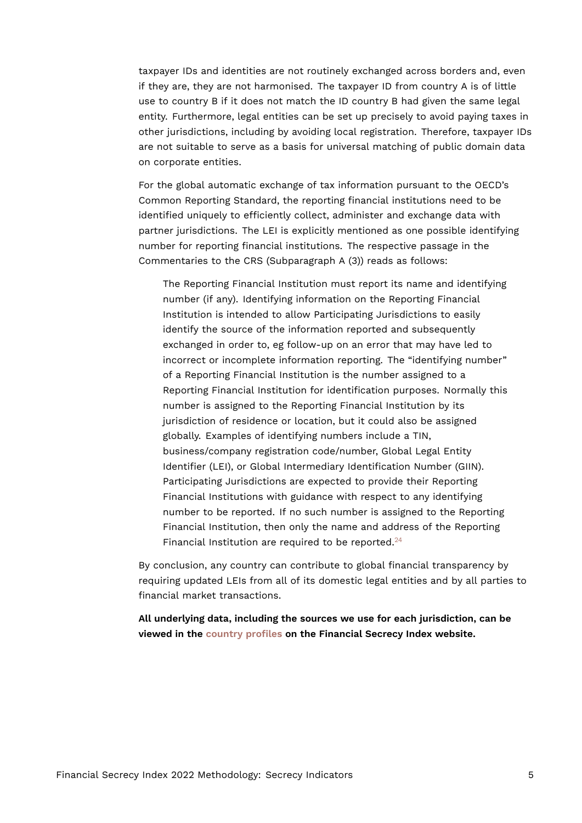taxpayer IDs and identities are not routinely exchanged across borders and, even if they are, they are not harmonised. The taxpayer ID from country A is of little use to country B if it does not match the ID country B had given the same legal entity. Furthermore, legal entities can be set up precisely to avoid paying taxes in other jurisdictions, including by avoiding local registration. Therefore, taxpayer IDs are not suitable to serve as a basis for universal matching of public domain data on corporate entities.

For the global automatic exchange of tax information pursuant to the OECD's Common Reporting Standard, the reporting financial institutions need to be identified uniquely to efficiently collect, administer and exchange data with partner jurisdictions. The LEI is explicitly mentioned as one possible identifying number for reporting financial institutions. The respective passage in the Commentaries to the CRS (Subparagraph A (3)) reads as follows:

The Reporting Financial Institution must report its name and identifying number (if any). Identifying information on the Reporting Financial Institution is intended to allow Participating Jurisdictions to easily identify the source of the information reported and subsequently exchanged in order to, eg follow-up on an error that may have led to incorrect or incomplete information reporting. The "identifying number" of a Reporting Financial Institution is the number assigned to a Reporting Financial Institution for identification purposes. Normally this number is assigned to the Reporting Financial Institution by its jurisdiction of residence or location, but it could also be assigned globally. Examples of identifying numbers include a TIN, business/company registration code/number, Global Legal Entity Identifier (LEI), or Global Intermediary Identification Number (GIIN). Participating Jurisdictions are expected to provide their Reporting Financial Institutions with guidance with respect to any identifying number to be reported. If no such number is assigned to the Reporting Financial Institution, then only the name and address of the Reporting Financial Institution are required to be reported.<sup>[24](#page-10-12)</sup>

<span id="page-4-0"></span>By conclusion, any country can contribute to global financial transparency by requiring updated LEIs from all of its domestic legal entities and by all parties to financial market transactions.

**All underlying data, including the sources we use for each jurisdiction, can be viewed in the [country profiles](https://fsi.taxjustice.net/country-detail) on the Financial Secrecy Index website.**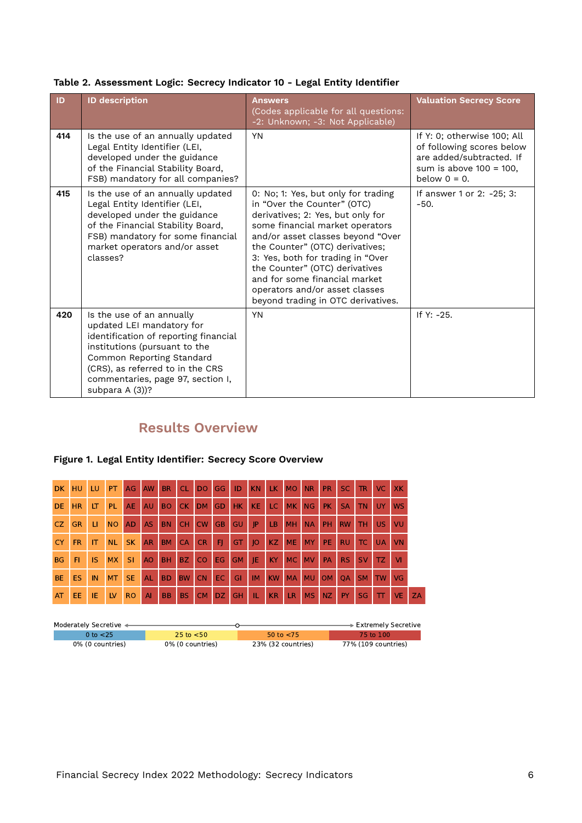<span id="page-5-0"></span>

| Table 2. Assessment Logic: Secrecy Indicator 10 - Legal Entity Identifier |  |  |  |
|---------------------------------------------------------------------------|--|--|--|

| ID  | <b>ID description</b>                                                                                                                                                                                                                                     | <b>Answers</b><br>(Codes applicable for all questions:<br>-2: Unknown; -3: Not Applicable)                                                                                                                                                                                                                                                                                                         | <b>Valuation Secrecy Score</b>                                                                                                        |
|-----|-----------------------------------------------------------------------------------------------------------------------------------------------------------------------------------------------------------------------------------------------------------|----------------------------------------------------------------------------------------------------------------------------------------------------------------------------------------------------------------------------------------------------------------------------------------------------------------------------------------------------------------------------------------------------|---------------------------------------------------------------------------------------------------------------------------------------|
| 414 | Is the use of an annually updated<br>Legal Entity Identifier (LEI,<br>developed under the guidance<br>of the Financial Stability Board,<br>FSB) mandatory for all companies?                                                                              | <b>YN</b>                                                                                                                                                                                                                                                                                                                                                                                          | If Y: 0; otherwise 100; All<br>of following scores below<br>are added/subtracted. If<br>sum is above $100 = 100$ ,<br>below $0 = 0$ . |
| 415 | Is the use of an annually updated<br>Legal Entity Identifier (LEI,<br>developed under the guidance<br>of the Financial Stability Board,<br>FSB) mandatory for some financial<br>market operators and/or asset<br>classes?                                 | 0: No; 1: Yes, but only for trading<br>in "Over the Counter" (OTC)<br>derivatives; 2: Yes, but only for<br>some financial market operators<br>and/or asset classes beyond "Over<br>the Counter" (OTC) derivatives;<br>3: Yes, both for trading in "Over<br>the Counter" (OTC) derivatives<br>and for some financial market<br>operators and/or asset classes<br>beyond trading in OTC derivatives. | If answer 1 or 2: -25; 3:<br>$-50.$                                                                                                   |
| 420 | Is the use of an annually<br>updated LEI mandatory for<br>identification of reporting financial<br>institutions (pursuant to the<br>Common Reporting Standard<br>(CRS), as referred to in the CRS<br>commentaries, page 97, section I,<br>subpara A (3))? | <b>YN</b>                                                                                                                                                                                                                                                                                                                                                                                          | If $Y: -25$ .                                                                                                                         |

## **Results Overview**

#### **Figure 1. Legal Entity Identifier: Secrecy Score Overview**

| <b>DK</b> | HU        | LU        | PT.       | <b>AG</b> | AW        | <b>BR</b> | <b>CL</b> | DO        | <b>GG</b> | ID        | <b>KN</b>   | LK.       | <b>MO</b> | <b>NR</b> | <b>PR</b> | SC.       | <b>TR</b> | VC.       | XK        |    |
|-----------|-----------|-----------|-----------|-----------|-----------|-----------|-----------|-----------|-----------|-----------|-------------|-----------|-----------|-----------|-----------|-----------|-----------|-----------|-----------|----|
| <b>DE</b> | <b>HR</b> | LT        | PL.       | <b>AE</b> | <b>AU</b> | <b>BO</b> | CK        | DM        | GD        | HK        | <b>KE</b>   | LC.       | <b>MK</b> | <b>NG</b> | PK.       | <b>SA</b> | <b>TN</b> | UY.       | <b>WS</b> |    |
| CZ.       | <b>GR</b> | ш         | <b>NO</b> | AD.       | <b>AS</b> | <b>BN</b> | <b>CH</b> | <b>CW</b> | <b>GB</b> | GU.       | P           | LB.       | <b>MH</b> | <b>NA</b> | <b>PH</b> | <b>RW</b> | <b>TH</b> | US.       | VU        |    |
| <b>CY</b> | <b>FR</b> | IT        | <b>NL</b> | <b>SK</b> | <b>AR</b> | <b>BM</b> | <b>CA</b> | <b>CR</b> | FI.       | GT.       | $ 0\rangle$ | KZ        | <b>ME</b> | <b>MY</b> | PE.       | <b>RU</b> | TC.       | <b>UA</b> | <b>VN</b> |    |
| <b>BG</b> | FI        | <b>IS</b> | <b>MX</b> | <b>SI</b> | AO.       | <b>BH</b> | BZ.       | <b>CO</b> | EG.       | <b>GM</b> | JE          | <b>KY</b> | <b>MC</b> | <b>MV</b> | PA        | RS        | <b>SV</b> | TZ.       | <b>VI</b> |    |
| <b>BE</b> | ES        | IN        | <b>MT</b> | <b>SE</b> | <b>AL</b> | <b>BD</b> | <b>BW</b> | <b>CN</b> | EC.       | GI        | <b>IM</b>   | <b>KW</b> | <b>MA</b> | <b>MU</b> | <b>OM</b> | <b>OA</b> | <b>SM</b> | <b>TW</b> | VG        |    |
| AT        | EE.       | IE        | <b>LV</b> | <b>RO</b> | AI        | <b>BB</b> | <b>BS</b> | CM        | DZ.       | <b>GH</b> | TL.         | KR        | LR        | <b>MS</b> | NZ        | PY.       | <b>SG</b> | TT.       | <b>VE</b> | ZA |

| Moderately Secretive < |                  |                     | ∙ Extremely Secretive |
|------------------------|------------------|---------------------|-----------------------|
| 0 to <25 .             | 25 to $<$ 50     | $50 \text{ to } 55$ | 75 to 100             |
| 0% (0 countries)       | 0% (0 countries) | 23% (32 countries)  | 77% (109 countries)   |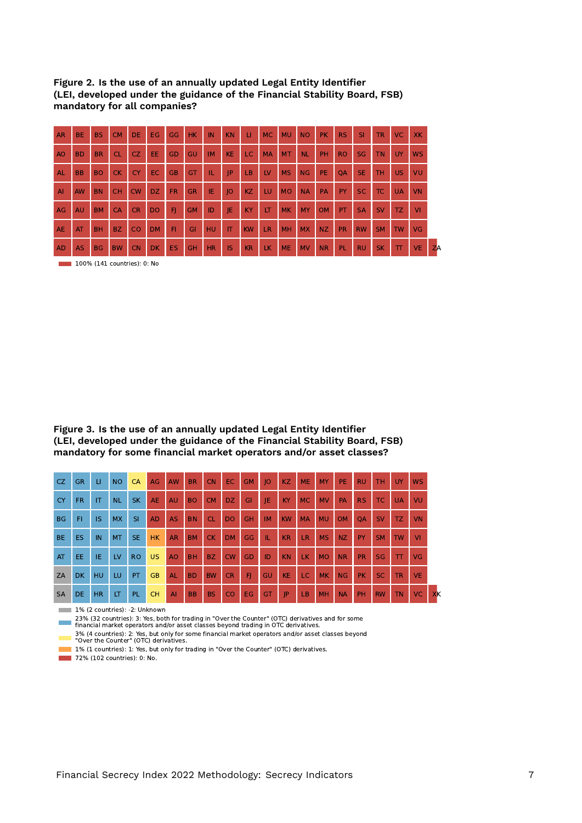| Figure 2. Is the use of an annually updated Legal Entity Identifier       |
|---------------------------------------------------------------------------|
| (LEI, developed under the guidance of the Financial Stability Board, FSB) |
| mandatory for all companies?                                              |

| <b>AR</b>      | BE.       | <b>BS</b> | <b>CM</b> | <b>DE</b> | EG.            | <b>GG</b> | HK.       | IN        | <b>KN</b>    | п         | <b>MC</b> | <b>MU</b> | <b>NO</b> | <b>PK</b> | RS.       | <b>SI</b> | <b>TR</b> | VC.       | <b>XK</b> |    |
|----------------|-----------|-----------|-----------|-----------|----------------|-----------|-----------|-----------|--------------|-----------|-----------|-----------|-----------|-----------|-----------|-----------|-----------|-----------|-----------|----|
| <b>AO</b>      | <b>BD</b> | <b>BR</b> | <b>CL</b> | CZ.       | EE.            | GD        | GU        | <b>IM</b> | <b>KE</b>    | LC.       | <b>MA</b> | <b>MT</b> | <b>NL</b> | PH        | <b>RO</b> | <b>SG</b> | <b>TN</b> | <b>UY</b> | <b>WS</b> |    |
| AL             | <b>BB</b> | <b>BO</b> | <b>CK</b> | <b>CY</b> | EC.            | <b>GB</b> | GT        | IL.       | P            | LB.       | LV        | <b>MS</b> | <b>NG</b> | <b>PE</b> | <b>OA</b> | <b>SE</b> | <b>TH</b> | US.       | VU        |    |
| $\overline{A}$ | <b>AW</b> | <b>BN</b> | <b>CH</b> | <b>CW</b> | DZ.            | <b>FR</b> | <b>GR</b> | IE        | O            | KZ        | LU        | <b>MO</b> | <b>NA</b> | PA        | <b>PY</b> | <b>SC</b> | TC.       | <b>UA</b> | VN        |    |
| AG             | <b>AU</b> | <b>BM</b> | <b>CA</b> | <b>CR</b> | D <sub>O</sub> | FI        | <b>GM</b> | ID        | IE           | <b>KY</b> | LT        | <b>MK</b> | <b>MY</b> | <b>OM</b> | <b>PT</b> | <b>SA</b> | <b>SV</b> | TZ.       | <b>VI</b> |    |
| <b>AE</b>      | AT        | <b>BH</b> | BZ.       | <b>CO</b> | <b>DM</b>      | FI        | GI        | <b>HU</b> | $\mathsf{I}$ | <b>KW</b> | <b>LR</b> | MH        | <b>MX</b> | <b>NZ</b> | <b>PR</b> | <b>RW</b> | <b>SM</b> | <b>TW</b> | <b>VG</b> |    |
| <b>AD</b>      | <b>AS</b> | <b>BG</b> | <b>BW</b> | <b>CN</b> | <b>DK</b>      | <b>ES</b> | <b>GH</b> | <b>HR</b> | <b>IS</b>    | KR        | LK.       | <b>ME</b> | <b>MV</b> | <b>NR</b> | PL        | <b>RU</b> | <b>SK</b> | π         | VE.       | ZA |

**100% (141 countries): 0: No** 

**Figure 3. Is the use of an annually updated Legal Entity Identifier (LEI, developed under the guidance of the Financial Stability Board, FSB) mandatory for some financial market operators and/or asset classes?**

| CZ.       | <b>GR</b> | $\sqcup$     | <b>NO</b> | CA        | AG        | <b>AW</b> | <b>BR</b> | <b>CN</b> | <b>EC</b>      | <b>GM</b> | 10        | <b>KZ</b> | <b>ME</b> | <b>MY</b> | <b>PE</b> | <b>RU</b> | TH.       | <b>UY</b>    | <b>WS</b> |    |
|-----------|-----------|--------------|-----------|-----------|-----------|-----------|-----------|-----------|----------------|-----------|-----------|-----------|-----------|-----------|-----------|-----------|-----------|--------------|-----------|----|
| <b>CY</b> | <b>FR</b> | $\mathsf{I}$ | <b>NL</b> | <b>SK</b> | <b>AE</b> | <b>AU</b> | <b>BO</b> | <b>CM</b> | DZ.            | GI        | IE        | KY        | <b>MC</b> | <b>MV</b> | <b>PA</b> | RS:       | TC.       | <b>UA</b>    | VU        |    |
| <b>BG</b> | FI        | <b>IS</b>    | <b>MX</b> | <b>SI</b> | <b>AD</b> | <b>AS</b> | <b>BN</b> | <b>CL</b> | D <sub>O</sub> | <b>GH</b> | <b>IM</b> | <b>KW</b> | <b>MA</b> | <b>MU</b> | <b>OM</b> | <b>OA</b> | <b>SV</b> | TZ.          | VN        |    |
| <b>BE</b> | ES.       | IN           | <b>MT</b> | <b>SE</b> | <b>HK</b> | <b>AR</b> | <b>BM</b> | <b>CK</b> | <b>DM</b>      | GG        | VΕ        | <b>KR</b> | <b>LR</b> | <b>MS</b> | NZ        | <b>PY</b> | <b>SM</b> | <b>TW</b>    | VI        |    |
| AT        | EE.       | IE.          | LV        | <b>RO</b> | <b>US</b> | AO.       | <b>BH</b> | BZ.       | CW             | GD        | ID        | <b>KN</b> | LK.       | <b>MO</b> | <b>NR</b> | <b>PR</b> | <b>SG</b> | $\mathbf{T}$ | VG        |    |
| ZA        | DK.       | <b>HU</b>    | LU        | <b>PT</b> | <b>GB</b> | <b>AL</b> | <b>BD</b> | <b>BW</b> | <b>CR</b>      | F         | <b>GU</b> | <b>KE</b> | LC.       | <b>MK</b> | NG        | PK.       | <b>SC</b> | <b>TR</b>    | <b>VE</b> |    |
| <b>SA</b> | DE.       | <b>HR</b>    | LT        | PL.       | <b>CH</b> | AI        | <b>BB</b> | <b>BS</b> | CO             | EG.       | GT        | P         | <b>LB</b> | <b>MH</b> | <b>NA</b> | PH        | <b>RW</b> | <b>TN</b>    | <b>VC</b> | XK |

1% (2 countries): -2: Unknown

23% (32 countries): 3: Yes, both for trading in "Over the Counter" (OTC) derivatives and for some financial market operators and/or asset classes beyond trading in OTC derivatives.

3% (4 countries): 2: Yes, but only for some financial market operators and/or asset classes beyond "Over the Counter" (OTC) derivatives.

1% (1 countries): 1: Yes, but only for trading in "Over the Counter" (OTC) derivatives.

**72% (102 countries): 0: No.**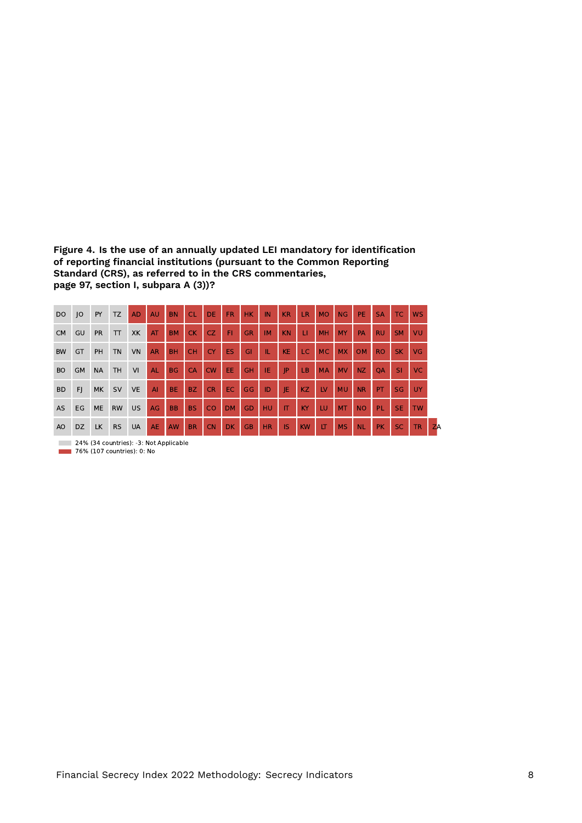**Figure 4. Is the use of an annually updated LEI mandatory for identification of reporting financial institutions (pursuant to the Common Reporting Standard (CRS), as referred to in the CRS commentaries, page 97, section I, subpara A (3))?**

| <b>DO</b>      | O         | PY        | TZ        | <b>AD</b>                              | AU        | <b>BN</b> | <b>CL</b> | <b>DE</b> | <b>FR</b> | <b>HK</b> | IN        | <b>KR</b> | LR.       | <b>MO</b> | NG        | <b>PE</b> | <b>SA</b> | TC.       | <b>WS</b> |    |
|----------------|-----------|-----------|-----------|----------------------------------------|-----------|-----------|-----------|-----------|-----------|-----------|-----------|-----------|-----------|-----------|-----------|-----------|-----------|-----------|-----------|----|
| <b>CM</b>      | GU        | <b>PR</b> | $\top$    | <b>XK</b>                              | AT        | <b>BM</b> | <b>CK</b> | <b>CZ</b> | FI        | <b>GR</b> | <b>IM</b> | <b>KN</b> | П         | <b>MH</b> | MY        | PA        | <b>RU</b> | <b>SM</b> | VU        |    |
| <b>BW</b>      | GT        | <b>PH</b> | <b>TN</b> | VN                                     | <b>AR</b> | <b>BH</b> | <b>CH</b> | <b>CY</b> | ES        | GI        | IL        | <b>KE</b> | LC.       | <b>MC</b> | <b>MX</b> | OM        | <b>RO</b> | <b>SK</b> | <b>VG</b> |    |
| <b>BO</b>      | <b>GM</b> | <b>NA</b> | <b>TH</b> | VI                                     | AL        | <b>BG</b> | CA        | <b>CW</b> | EE        | GH        | IE        | JP        | <b>LB</b> | <b>MA</b> | <b>MV</b> | <b>NZ</b> | <b>OA</b> | SI        | VC.       |    |
| <b>BD</b>      | F         | MK        | SV        | <b>VE</b>                              | AI        | <b>BE</b> | <b>BZ</b> | <b>CR</b> | EC        | GG        | ID        | JE        | <b>KZ</b> | LV        | <b>MU</b> | <b>NR</b> | PT        | SG        | UY        |    |
| <b>AS</b>      | EG        | <b>ME</b> | <b>RW</b> | <b>US</b>                              | AG        | <b>BB</b> | <b>BS</b> | CO        | <b>DM</b> | GD        | HU        | IT        | KY        | LU        | <b>MT</b> | <b>NO</b> | PL        | <b>SE</b> | <b>TW</b> |    |
| A <sub>O</sub> | <b>DZ</b> | <b>LK</b> | <b>RS</b> | <b>UA</b>                              | <b>AE</b> | <b>AW</b> | <b>BR</b> | <b>CN</b> | DK        | <b>GB</b> | <b>HR</b> | <b>IS</b> | <b>KW</b> | LT        | <b>MS</b> | <b>NL</b> | <b>PK</b> | <b>SC</b> | <b>TR</b> | ZA |
|                |           |           |           | 24% (34 countries): -3: Not Applicable |           |           |           |           |           |           |           |           |           |           |           |           |           |           |           |    |

76% (107 countries): 0: No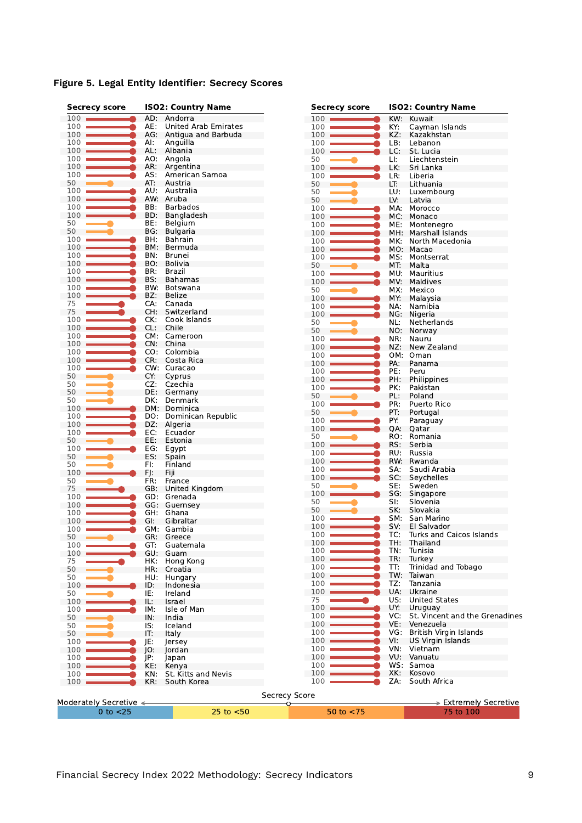|  |  |  | Figure 5. Legal Entity Identifier: Secrecy Scores |  |  |
|--|--|--|---------------------------------------------------|--|--|
|--|--|--|---------------------------------------------------|--|--|

| <b>Secrecy score</b>   |     | <b>ISO2: Country Name</b>   | <b>Secrecy score</b> |            | <b>ISO2: Country Name</b>      |  |  |  |
|------------------------|-----|-----------------------------|----------------------|------------|--------------------------------|--|--|--|
| 100                    |     | AD: Andorra                 | 100                  | KW:        | Kuwait                         |  |  |  |
| 100                    | AE: | United Arab Emirates        | 100                  | KY:        | Cayman Islands                 |  |  |  |
| 100                    | AG: | Antigua and Barbuda         | 100                  | KZ:        | Kazakhstan                     |  |  |  |
| 100                    | Al: | Anguilla                    | 100                  | LB:        | Lebanon                        |  |  |  |
| 100                    | AL: | Albania                     | 100                  | LC:        | St. Lucia                      |  |  |  |
| 100                    | AO: | Angola                      | 50                   | LI:        | Liechtenstein                  |  |  |  |
| 100                    | AR: | Argentina                   | $100 -$              | LK:        | Sri Lanka                      |  |  |  |
| 100                    | AS: | American Samoa              | 100                  | LR:        | Liberia                        |  |  |  |
| 50                     | AT: | Austria                     | 50                   | LT:        | Lithuania                      |  |  |  |
| 100                    | AU: | Australia                   | 50                   | LU:        | Luxembourg                     |  |  |  |
| 100                    |     | AW: Aruba                   | 50                   | LV:        | Latvia                         |  |  |  |
| 100                    | BB: | Barbados                    | 100                  | MA:        | Morocco                        |  |  |  |
| 100                    | BD: | Bangladesh                  | 100                  | MC:        | Monaco                         |  |  |  |
| 50                     | BE: | Belgium                     | 100                  | ME:        | Montenegro                     |  |  |  |
| 50                     | BG: | <b>Bulgaria</b>             | 100                  | MH:        | Marshall Islands               |  |  |  |
| 100                    | BH: | Bahrain                     | 100                  | MK:        | North Macedonia                |  |  |  |
| 100                    | BM: | Bermuda                     | 100                  |            | MO: Macao                      |  |  |  |
| 100                    | BN: | Brunei                      | 100                  | MS:        | Montserrat                     |  |  |  |
| 100                    | BO. | Bolivia                     | 50                   | MT:        | Malta                          |  |  |  |
| 100                    | BR: | Brazil                      | 100                  | MU:        | Mauritius                      |  |  |  |
| 100                    | BS: | <b>Bahamas</b>              | 100                  | MV.        | Maldives                       |  |  |  |
| 100                    | BW. | Botswana                    | 50                   | MX:        | Mexico                         |  |  |  |
| 100                    | BZ: | Belize                      | 100                  | MY:        | Malaysia                       |  |  |  |
| 75                     | CA: | Canada                      | 100                  | NA:        | Namibia                        |  |  |  |
| 75                     | CH: | Switzerland<br>Cook Islands | 100                  | NG:        | Nigeria                        |  |  |  |
| 100                    | CK: |                             | 50                   | NL:        | Netherlands                    |  |  |  |
| 100<br>100             | CL: | Chile<br>CM: Cameroon       | 50                   | NO:        | Norway                         |  |  |  |
| 100                    | CN: | China                       | 100                  | NR:        | Nauru                          |  |  |  |
| 100                    |     | CO: Colombia                | 100                  | NZ:        | New Zealand                    |  |  |  |
| 100                    | CR: | Costa Rica                  | 100                  | OM:        | Oman                           |  |  |  |
| 100                    |     | CW: Curacao                 | 100                  | PA:        | Panama                         |  |  |  |
| 50                     | CY: | Cyprus                      | 100                  | PE:        | Peru                           |  |  |  |
| 50                     | CZ: | Czechia                     | 100                  | PH:        | Philippines                    |  |  |  |
| 50                     | DE: | Germany                     | 100                  | PK:        | Pakistan                       |  |  |  |
| 50                     | DK: | Denmark                     | 50                   | PL:        | Poland                         |  |  |  |
| 100                    |     | DM: Dominica                | 100                  | PR:        | Puerto Rico                    |  |  |  |
| 100                    | DO: | Dominican Republic          | 50                   | PT:        | Portugal                       |  |  |  |
| 100                    | DZ: | Algeria                     | 100                  | PY:        | Paraguay                       |  |  |  |
| 100                    | EC: | Ecuador                     | 100                  | QA:        | Qatar                          |  |  |  |
| 50                     | EE: | Estonia                     | 50                   | RO:        | Romania                        |  |  |  |
| 100                    | EG: | Egypt                       | 100                  | RS:        | Serbia                         |  |  |  |
| 50                     | ES: | Spain                       | 100                  | RU:        | Russia                         |  |  |  |
| 50                     | FI: | Finland                     | 100                  | RW:        | Rwanda                         |  |  |  |
| 100                    | FJ: | Fiji                        | 100                  | SA:        | Saudi Arabia                   |  |  |  |
| 50                     | FR: | France                      | 100                  | SC:        | Seychelles                     |  |  |  |
| 75                     | GB: | United Kingdom              | 50                   | SE:        | Sweden                         |  |  |  |
| 100                    |     | GD: Grenada                 | 100                  | SG:        | Singapore                      |  |  |  |
| 100                    |     | GG: Guernsey                | 50                   | SI:        | Slovenia                       |  |  |  |
| 100                    | GH. | Ghana                       | 50                   | SK:        | Slovakia                       |  |  |  |
| 100                    | GI: | Gibraltar                   | 100                  | SM:        | San Marino                     |  |  |  |
| 100                    |     | GM: Gambia                  | 100                  | SV:        | El Salvador                    |  |  |  |
| 50                     | GR: | Greece                      | 100                  | TC:        | Turks and Caicos Islands       |  |  |  |
| 100                    | GT: | Guatemala                   | 100                  | TH:        | Thailand                       |  |  |  |
| 100                    | GU: | Guam                        | 100                  | TN:        | Tunisia                        |  |  |  |
| 75                     | HK: | Hong Kong                   | 100                  | TR:        | Turkey                         |  |  |  |
| 50                     | HR: | Croatia                     | 100                  | TT:        | Trinidad and Tobago            |  |  |  |
| 50                     | HU: | Hungary                     | 100                  | TW:        | Taiwan                         |  |  |  |
| 100                    | ID: | Indonesia                   | 100                  | TZ:        | Tanzania                       |  |  |  |
| 50                     | IE: | Ireland                     | 100                  | UA:        | Ukraine                        |  |  |  |
| 100                    | IL: | Israel                      | 75                   | US:        | <b>United States</b>           |  |  |  |
| 100                    | IM: | Isle of Man                 | 100                  | UY:        | Uruguay                        |  |  |  |
| 50                     | IN: | India                       | 100                  | VC:        | St. Vincent and the Grenadines |  |  |  |
| 50                     | IS: | Iceland                     | 100                  | VE:        | Venezuela                      |  |  |  |
| 50                     | IT: | Italy                       | 100                  | VG:        | British Virgin Islands         |  |  |  |
| 100                    | JE: | lersey                      | 100                  | VI:        | <b>US Virgin Islands</b>       |  |  |  |
| 100                    | IO: | Jordan                      | 100                  | VN:        | Vietnam<br>VU: Vanuatu         |  |  |  |
| 100                    | JP: | Japan                       | 100                  |            | WS: Samoa                      |  |  |  |
| 100                    | KE: | Kenya                       | 100                  |            |                                |  |  |  |
| 100                    | KN: | St. Kitts and Nevis         | 100<br>100           | XK:<br>ZA: | Kosovo<br>South Africa         |  |  |  |
| 100                    | KR: | South Korea                 |                      |            |                                |  |  |  |
|                        |     |                             | <b>Secrecy Score</b> |            |                                |  |  |  |
| Moderately Secretive < |     |                             | ◡                    |            | > Extremely Secretive          |  |  |  |
| $0$ to $<$ 25          |     | $25$ to $< 50$              | 50 to $<$ 75         |            | 75 to 100                      |  |  |  |
|                        |     |                             |                      |            |                                |  |  |  |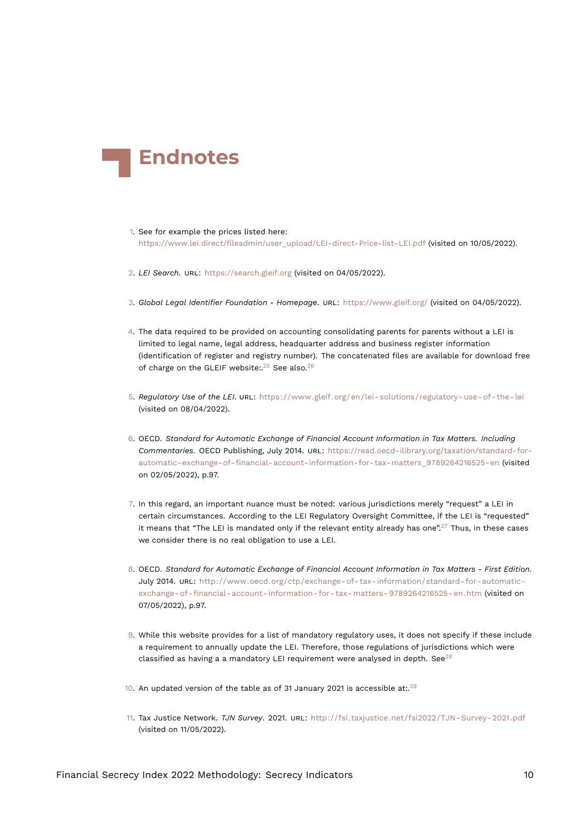<span id="page-9-18"></span>

- <span id="page-9-0"></span>[1.](#page-0-0) See for example the prices listed here: https://www*.*lei*.*[direct/fileadmin/user\\_upload/LEI-direct-Price-list-LEI](https://www.lei.direct/fileadmin/user_upload/LEI-direct-Price-list-LEI.pdf)*.*pdf (visited on 10/05/2022).
- <span id="page-9-1"></span>[2.](#page-0-1) *LEI Search*. URL: <https://search.gleif.org> (visited on 04/05/2022).
- <span id="page-9-2"></span>[3.](#page-0-2) *Global Legal Identifier Foundation - Homepage*. URL: <https://www.gleif.org/> (visited on 04/05/2022).
- <span id="page-9-3"></span>[4.](#page-0-3) The data required to be provided on accounting consolidating parents for parents without a LEI is limited to legal name, legal address, headquarter address and business register information (identification of register and registry number). The concatenated files are available for download free of charge on the GLEIF website:.<sup>[25](#page-10-13)</sup> See also.<sup>[26](#page-10-14)</sup>
- <span id="page-9-16"></span><span id="page-9-13"></span><span id="page-9-12"></span><span id="page-9-4"></span>[5.](#page-0-4) *Regulatory Use of the LEI*. URL: [https://www.gleif.org/en/lei- solutions/regulatory- use- of- the- lei](https://www.gleif.org/en/lei-solutions/regulatory-use-of-the-lei) (visited on 08/04/2022).
- <span id="page-9-11"></span><span id="page-9-5"></span>[6.](#page-0-5) OECD. *Standard for Automatic Exchange of Financial Account Information in Tax Matters. Including Commentaries.* OECD Publishing, July 2014. URL: [https://read.oecd-ilibrary.org/taxation/standard-for](https://read.oecd-ilibrary.org/taxation/standard-for-automatic-exchange-of-financial-account-information-for-tax-matters_9789264216525-en)[automatic-exchange-of-financial-account-information-for-tax-matters\\_9789264216525-en](https://read.oecd-ilibrary.org/taxation/standard-for-automatic-exchange-of-financial-account-information-for-tax-matters_9789264216525-en) (visited on 02/05/2022), p.97.
- <span id="page-9-14"></span><span id="page-9-6"></span>[7.](#page-0-6) In this regard, an important nuance must be noted: various jurisdictions merely "request" a LEI in certain circumstances. According to the LEI Regulatory Oversight Committee, if the LEI is "requested" it means that "The LEI is mandated only if the relevant entity already has one".<sup>[27](#page-10-15)</sup> Thus, in these cases we consider there is no real obligation to use a LEI.
- <span id="page-9-7"></span>[8.](#page-1-1) OECD. *Standard for Automatic Exchange of Financial Account Information in Tax Matters - First Edition*. July 2014. URL: [http://www.oecd.org/ctp/exchange- of- tax- information/standard- for- automatic](http://www.oecd.org/ctp/exchange-of-tax-information/standard-for-automatic-exchange-of-financial-account-information-for-tax-matters-9789264216525-en.htm)[exchange- of- financial- account- information- for- tax- matters- 9789264216525- en.htm](http://www.oecd.org/ctp/exchange-of-tax-information/standard-for-automatic-exchange-of-financial-account-information-for-tax-matters-9789264216525-en.htm) (visited on 07/05/2022), p.97.
- <span id="page-9-15"></span><span id="page-9-8"></span>[9.](#page-1-2) While this website provides for a list of mandatory regulatory uses, it does not specify if these include a requirement to annually update the LEI. Therefore, those regulations of jurisdictions which were classified as having a a mandatory LEI requirement were analysed in depth. See<sup>[28](#page-10-16)</sup>
- <span id="page-9-9"></span>[10.](#page-1-3) An updated version of the table as of 31 January 2021 is accessible at:.<sup>[29](#page-11-0)</sup>
- <span id="page-9-17"></span><span id="page-9-10"></span>[11.](#page-1-4) Tax Justice Network. *TJN Survey*. 2021. URL: [http://fsi.taxjustice.net/fsi2022/TJN- Survey- 2021.pdf](http://fsi.taxjustice.net/fsi2022/TJN-Survey-2021.pdf) (visited on 11/05/2022).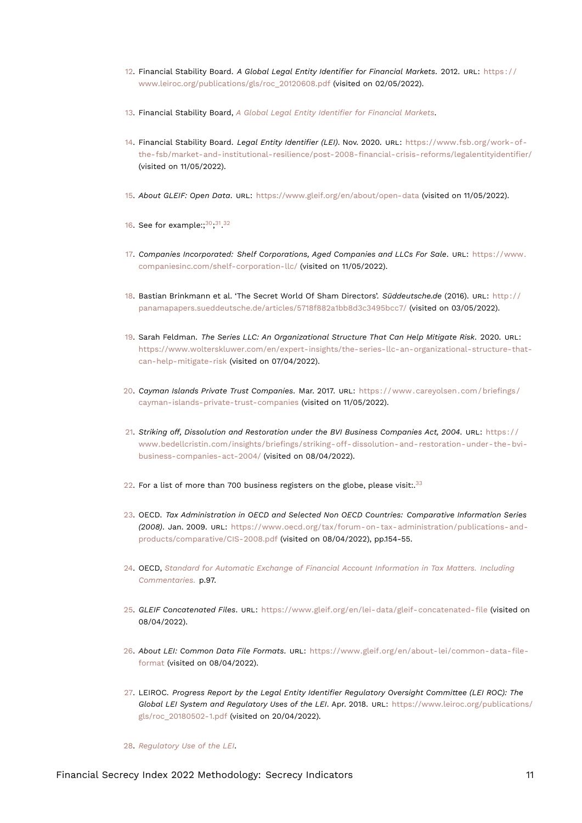- <span id="page-10-22"></span><span id="page-10-17"></span><span id="page-10-0"></span>[12.](#page-2-0) Financial Stability Board. *A Global Legal Entity Identifier for Financial Markets*. 2012. URL: [https : / /](https://www.leiroc.org/publications/gls/roc_20120608.pdf) [www.leiroc.org/publications/gls/roc\\_20120608.pdf](https://www.leiroc.org/publications/gls/roc_20120608.pdf) (visited on 02/05/2022).
- <span id="page-10-1"></span>[13.](#page-2-1) Financial Stability Board, *[A Global Legal Entity Identifier for Financial Markets](#page-10-17)*.
- <span id="page-10-2"></span>[14.](#page-2-2) Financial Stability Board. *Legal Entity Identifier (LEI)*. Nov. 2020. URL: [https://www.fsb.org/work-of](https://www.fsb.org/work-of-the-fsb/market-and-institutional-resilience/post-2008-financial-crisis-reforms/legalentityidentifier/)[the-fsb/market-and-institutional-resilience/post-2008-financial-crisis-reforms/legalentityidentifier/](https://www.fsb.org/work-of-the-fsb/market-and-institutional-resilience/post-2008-financial-crisis-reforms/legalentityidentifier/) (visited on 11/05/2022).
- <span id="page-10-3"></span>[15.](#page-2-3) *About GLEIF: Open Data*. URL: <https://www.gleif.org/en/about/open-data> (visited on 11/05/2022).
- <span id="page-10-20"></span><span id="page-10-19"></span><span id="page-10-18"></span><span id="page-10-4"></span>[16.](#page-2-4) See for example:; $^{30}$  $^{30}$  $^{30}$ ; $^{31}$  $^{31}$  $^{31}$ , $^{32}$  $^{32}$  $^{32}$
- <span id="page-10-5"></span>[17.](#page-2-5) *Companies Incorporated: Shelf Corporations, Aged Companies and LLCs For Sale*. URL: [https://www.](https://www.companiesinc.com/shelf-corporation-llc/) [companiesinc.com/shelf-corporation-llc/](https://www.companiesinc.com/shelf-corporation-llc/) (visited on 11/05/2022).
- <span id="page-10-6"></span>[18.](#page-2-6) Bastian Brinkmann et al. 'The Secret World Of Sham Directors'. *Süddeutsche.de* (2016). URL: [http://](http://panamapapers.sueddeutsche.de/articles/5718f882a1bb8d3c3495bcc7/) [panamapapers.sueddeutsche.de/articles/5718f882a1bb8d3c3495bcc7/](http://panamapapers.sueddeutsche.de/articles/5718f882a1bb8d3c3495bcc7/) (visited on 03/05/2022).
- <span id="page-10-7"></span>[19.](#page-2-7) Sarah Feldman. *The Series LLC: An Organizational Structure That Can Help Mitigate Risk*. 2020. URL: [https://www.wolterskluwer.com/en/expert-insights/the-series-llc-an-organizational-structure-that](https://www.wolterskluwer.com/en/expert-insights/the-series-llc-an-organizational-structure-that-can-help-mitigate-risk)[can-help-mitigate-risk](https://www.wolterskluwer.com/en/expert-insights/the-series-llc-an-organizational-structure-that-can-help-mitigate-risk) (visited on 07/04/2022).
- <span id="page-10-8"></span>[20.](#page-3-0) *Cayman Islands Private Trust Companies*. Mar. 2017. URL: [https://www.careyolsen.com/briefings/](https://www.careyolsen.com/briefings/cayman-islands-private-trust-companies) [cayman-islands-private-trust-companies](https://www.careyolsen.com/briefings/cayman-islands-private-trust-companies) (visited on 11/05/2022).
- <span id="page-10-9"></span>[21.](#page-3-1) *Striking off, Dissolution and Restoration under the BVI Business Companies Act, 2004*. URL: [https : / /](https://www.bedellcristin.com/insights/briefings/striking-off-dissolution-and-restoration-under-the-bvi-business-companies-act-2004/) [www.bedellcristin.com/insights/briefings/striking-off-dissolution-and-restoration-under-the-bvi](https://www.bedellcristin.com/insights/briefings/striking-off-dissolution-and-restoration-under-the-bvi-business-companies-act-2004/)[business-companies-act-2004/](https://www.bedellcristin.com/insights/briefings/striking-off-dissolution-and-restoration-under-the-bvi-business-companies-act-2004/) (visited on 08/04/2022).
- <span id="page-10-21"></span><span id="page-10-10"></span>[22.](#page-3-2) For a list of more than 700 business registers on the globe, please visit:. $33$
- <span id="page-10-11"></span>[23.](#page-3-3) OECD. *Tax Administration in OECD and Selected Non OECD Countries: Comparative Information Series (2008)*. Jan. 2009. URL: [https://www.oecd.org/tax/forum-on-tax-administration/publications-and](https://www.oecd.org/tax/forum-on-tax-administration/publications-and-products/comparative/CIS-2008.pdf)[products/comparative/CIS-2008.pdf](https://www.oecd.org/tax/forum-on-tax-administration/publications-and-products/comparative/CIS-2008.pdf) (visited on 08/04/2022), pp.154-55.
- <span id="page-10-12"></span>[24.](#page-4-0) OECD, *[Standard for Automatic Exchange of Financial Account Information in Tax Matters. Including](#page-9-11) [Commentaries.](#page-9-11)* p.97.
- <span id="page-10-13"></span>[25.](#page-9-12) *GLEIF Concatenated Files*. URL: <https://www.gleif.org/en/lei-data/gleif-concatenated-file> (visited on 08/04/2022).
- <span id="page-10-14"></span>[26.](#page-9-13) *About LEI: Common Data File Formats*. URL: [https://www.gleif.org/en/about-lei/common-data-file](https://www.gleif.org/en/about-lei/common-data-file-format)[format](https://www.gleif.org/en/about-lei/common-data-file-format) (visited on 08/04/2022).
- <span id="page-10-15"></span>[27.](#page-9-14) LEIROC. *Progress Report by the Legal Entity Identifier Regulatory Oversight Committee (LEI ROC): The Global LEI System and Regulatory Uses of the LEI*. Apr. 2018. URL: [https://www.leiroc.org/publications/](https://www.leiroc.org/publications/gls/roc_20180502-1.pdf) [gls/roc\\_20180502-1.pdf](https://www.leiroc.org/publications/gls/roc_20180502-1.pdf) (visited on 20/04/2022).
- <span id="page-10-16"></span>[28.](#page-9-15) *[Regulatory Use of the LEI](#page-9-16)*.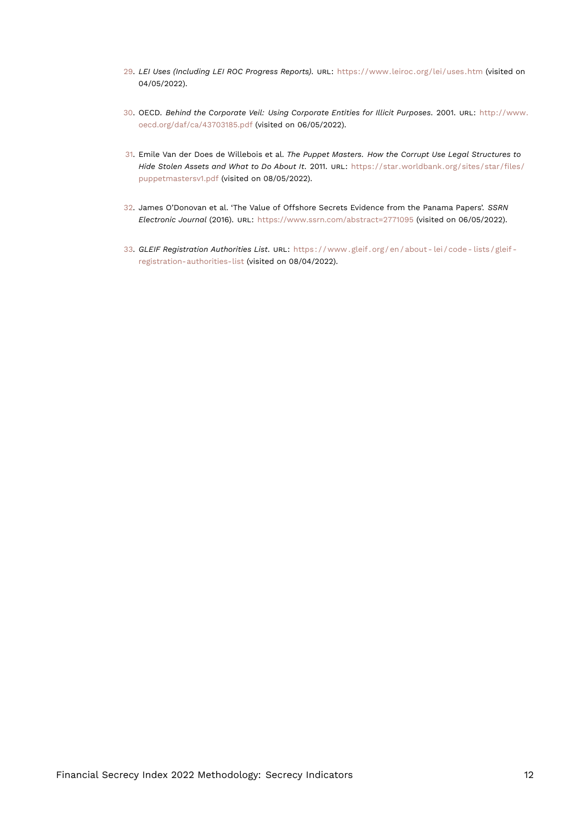- <span id="page-11-5"></span><span id="page-11-0"></span>[29.](#page-9-17) *LEI Uses (Including LEI ROC Progress Reports)*. URL: <https://www.leiroc.org/lei/uses.htm> (visited on 04/05/2022).
- <span id="page-11-1"></span>[30.](#page-10-18) OECD. *Behind the Corporate Veil: Using Corporate Entities for Illicit Purposes*. 2001. URL: [http://www.](http://www.oecd.org/daf/ca/43703185.pdf) [oecd.org/daf/ca/43703185.pdf](http://www.oecd.org/daf/ca/43703185.pdf) (visited on 06/05/2022).
- <span id="page-11-2"></span>[31.](#page-10-19) Emile Van der Does de Willebois et al. *The Puppet Masters. How the Corrupt Use Legal Structures to Hide Stolen Assets and What to Do About It*. 2011. URL: [https://star.worldbank.org/sites/star/files/](https://star.worldbank.org/sites/star/files/puppetmastersv1.pdf) [puppetmastersv1.pdf](https://star.worldbank.org/sites/star/files/puppetmastersv1.pdf) (visited on 08/05/2022).
- <span id="page-11-3"></span>[32.](#page-10-20) James O'Donovan et al. 'The Value of Offshore Secrets Evidence from the Panama Papers'. *SSRN Electronic Journal* (2016). URL: <https://www.ssrn.com/abstract=2771095> (visited on 06/05/2022).
- <span id="page-11-4"></span>[33.](#page-10-21) *GLEIF Registration Authorities List*. URL: [https : / / www . gleif . org / en / about - lei / code - lists / gleif](https://www.gleif.org/en/about-lei/code-lists/gleif-registration-authorities-list)  [registration-authorities-list](https://www.gleif.org/en/about-lei/code-lists/gleif-registration-authorities-list) (visited on 08/04/2022).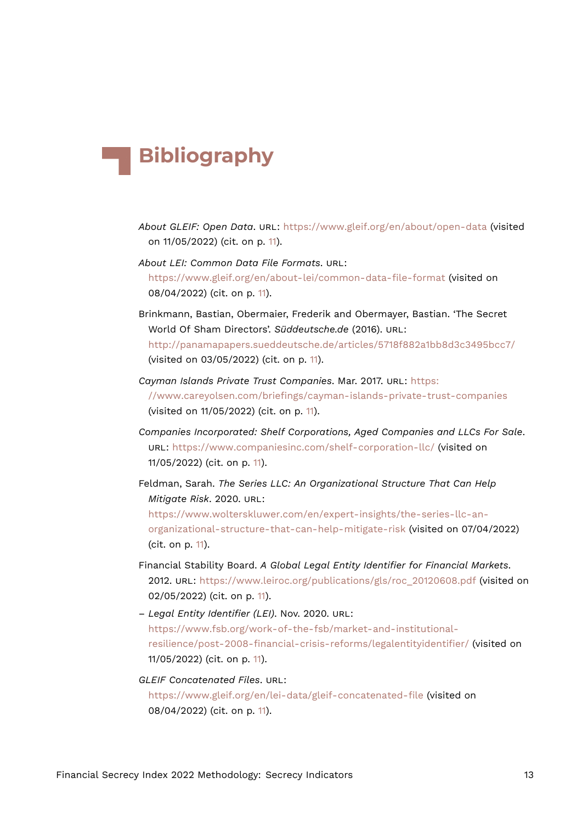# **Bibliography**

- *About GLEIF: Open Data*. URL: <https://www.gleif.org/en/about/open-data> (visited on 11/05/2022) (cit. on p. [11\)](#page-10-22).
- *About LEI: Common Data File Formats*. URL: <https://www.gleif.org/en/about-lei/common-data-file-format> (visited on 08/04/2022) (cit. on p. [11](#page-10-22)).
- Brinkmann, Bastian, Obermaier, Frederik and Obermayer, Bastian. 'The Secret World Of Sham Directors'. *Süddeutsche.de* (2016). URL: <http://panamapapers.sueddeutsche.de/articles/5718f882a1bb8d3c3495bcc7/> (visited on 03/05/2022) (cit. on p. [11](#page-10-22)).
- *Cayman Islands Private Trust Companies*. Mar. 2017. URL: [https:](https://www.careyolsen.com/briefings/cayman-islands-private-trust-companies) [//www.careyolsen.com/briefings/cayman-islands-private-trust-companies](https://www.careyolsen.com/briefings/cayman-islands-private-trust-companies) (visited on 11/05/2022) (cit. on p. [11](#page-10-22)).
- *Companies Incorporated: Shelf Corporations, Aged Companies and LLCs For Sale*. URL: <https://www.companiesinc.com/shelf-corporation-llc/> (visited on 11/05/2022) (cit. on p. [11](#page-10-22)).

Feldman, Sarah. *The Series LLC: An Organizational Structure That Can Help Mitigate Risk*. 2020. URL: [https://www.wolterskluwer.com/en/expert-insights/the-series-llc-an](https://www.wolterskluwer.com/en/expert-insights/the-series-llc-an-organizational-structure-that-can-help-mitigate-risk)[organizational-structure-that-can-help-mitigate-risk](https://www.wolterskluwer.com/en/expert-insights/the-series-llc-an-organizational-structure-that-can-help-mitigate-risk) (visited on 07/04/2022) (cit. on p. [11\)](#page-10-22).

- Financial Stability Board. *A Global Legal Entity Identifier for Financial Markets*. 2012. URL: [https://www.leiroc.org/publications/gls/roc\\_20120608.pdf](https://www.leiroc.org/publications/gls/roc_20120608.pdf) (visited on 02/05/2022) (cit. on p. [11](#page-10-22)).
- *Legal Entity Identifier (LEI)*. Nov. 2020. URL: [https://www.fsb.org/work-of-the-fsb/market-and-institutional](https://www.fsb.org/work-of-the-fsb/market-and-institutional-resilience/post-2008-financial-crisis-reforms/legalentityidentifier/)[resilience/post-2008-financial-crisis-reforms/legalentityidentifier/](https://www.fsb.org/work-of-the-fsb/market-and-institutional-resilience/post-2008-financial-crisis-reforms/legalentityidentifier/) (visited on 11/05/2022) (cit. on p. [11](#page-10-22)).

#### *GLEIF Concatenated Files*. URL:

<https://www.gleif.org/en/lei-data/gleif-concatenated-file> (visited on 08/04/2022) (cit. on p. [11](#page-10-22)).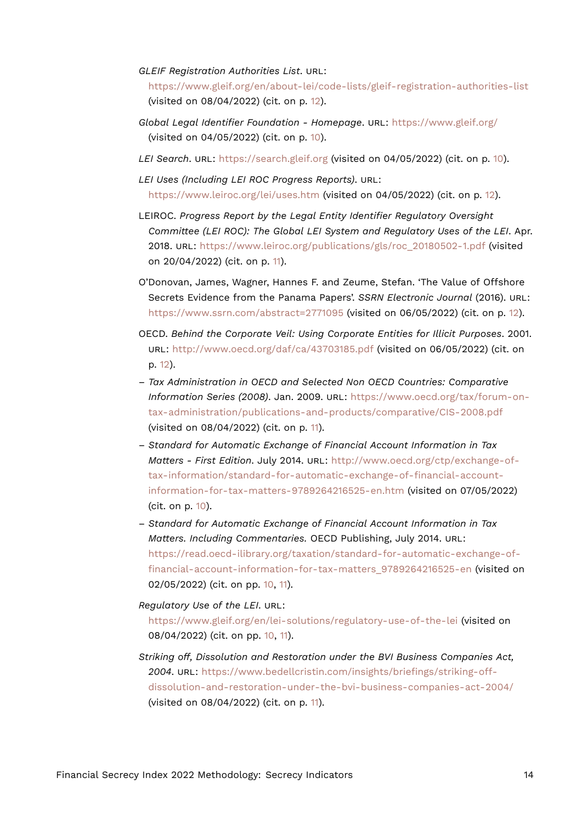#### *GLEIF Registration Authorities List*. URL:

<https://www.gleif.org/en/about-lei/code-lists/gleif-registration-authorities-list> (visited on 08/04/2022) (cit. on p. [12\)](#page-11-5).

- *Global Legal Identifier Foundation Homepage*. URL: <https://www.gleif.org/> (visited on 04/05/2022) (cit. on p. [10\)](#page-9-18).
- *LEI Search*. URL: <https://search.gleif.org> (visited on 04/05/2022) (cit. on p. [10\)](#page-9-18).
- *LEI Uses (Including LEI ROC Progress Reports)*. URL: <https://www.leiroc.org/lei/uses.htm> (visited on 04/05/2022) (cit. on p. [12](#page-11-5)).
- LEIROC. *Progress Report by the Legal Entity Identifier Regulatory Oversight Committee (LEI ROC): The Global LEI System and Regulatory Uses of the LEI*. Apr. 2018. URL: [https://www.leiroc.org/publications/gls/roc\\_20180502-1.pdf](https://www.leiroc.org/publications/gls/roc_20180502-1.pdf) (visited on 20/04/2022) (cit. on p. [11](#page-10-22)).
- O'Donovan, James, Wagner, Hannes F. and Zeume, Stefan. 'The Value of Offshore Secrets Evidence from the Panama Papers'. *SSRN Electronic Journal* (2016). URL: <https://www.ssrn.com/abstract=2771095> (visited on 06/05/2022) (cit. on p. [12\)](#page-11-5).
- OECD. *Behind the Corporate Veil: Using Corporate Entities for Illicit Purposes*. 2001. URL: <http://www.oecd.org/daf/ca/43703185.pdf> (visited on 06/05/2022) (cit. on p. [12](#page-11-5)).
- *Tax Administration in OECD and Selected Non OECD Countries: Comparative Information Series (2008)*. Jan. 2009. URL: [https://www.oecd.org/tax/forum-on](https://www.oecd.org/tax/forum-on-tax-administration/publications-and-products/comparative/CIS-2008.pdf)[tax-administration/publications-and-products/comparative/CIS-2008.pdf](https://www.oecd.org/tax/forum-on-tax-administration/publications-and-products/comparative/CIS-2008.pdf) (visited on 08/04/2022) (cit. on p. [11\)](#page-10-22).
- *Standard for Automatic Exchange of Financial Account Information in Tax Matters - First Edition*. July 2014. URL: [http://www.oecd.org/ctp/exchange-of](http://www.oecd.org/ctp/exchange-of-tax-information/standard-for-automatic-exchange-of-financial-account-information-for-tax-matters-9789264216525-en.htm)[tax-information/standard-for-automatic-exchange-of-financial-account](http://www.oecd.org/ctp/exchange-of-tax-information/standard-for-automatic-exchange-of-financial-account-information-for-tax-matters-9789264216525-en.htm)[information-for-tax-matters-9789264216525-en.htm](http://www.oecd.org/ctp/exchange-of-tax-information/standard-for-automatic-exchange-of-financial-account-information-for-tax-matters-9789264216525-en.htm) (visited on 07/05/2022) (cit. on p. [10\)](#page-9-18).
- *Standard for Automatic Exchange of Financial Account Information in Tax Matters. Including Commentaries.* OECD Publishing, July 2014. URL: [https://read.oecd-ilibrary.org/taxation/standard-for-automatic-exchange-of](https://read.oecd-ilibrary.org/taxation/standard-for-automatic-exchange-of-financial-account-information-for-tax-matters_9789264216525-en)[financial-account-information-for-tax-matters\\_9789264216525-en](https://read.oecd-ilibrary.org/taxation/standard-for-automatic-exchange-of-financial-account-information-for-tax-matters_9789264216525-en) (visited on 02/05/2022) (cit. on pp. [10](#page-9-18), [11\)](#page-10-22).

#### *Regulatory Use of the LEI*. URL: <https://www.gleif.org/en/lei-solutions/regulatory-use-of-the-lei> (visited on 08/04/2022) (cit. on pp. [10,](#page-9-18) [11](#page-10-22)).

*Striking off, Dissolution and Restoration under the BVI Business Companies Act, 2004*. URL: [https://www.bedellcristin.com/insights/briefings/striking-off](https://www.bedellcristin.com/insights/briefings/striking-off-dissolution-and-restoration-under-the-bvi-business-companies-act-2004/)[dissolution-and-restoration-under-the-bvi-business-companies-act-2004/](https://www.bedellcristin.com/insights/briefings/striking-off-dissolution-and-restoration-under-the-bvi-business-companies-act-2004/) (visited on 08/04/2022) (cit. on p. [11\)](#page-10-22).